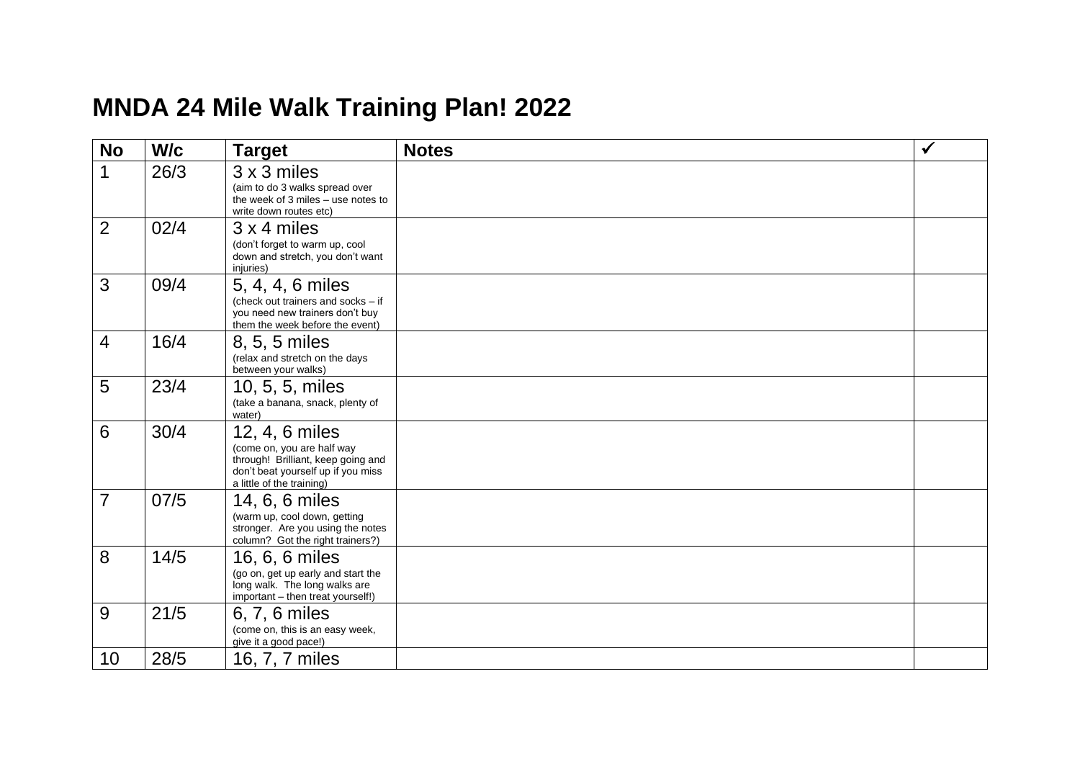## **MNDA 2 4 Mile Walk Training Plan! 202 2**

| <b>No</b>      | W/c  | <b>Target</b>                                                                                                                                         | <b>Notes</b> | $\checkmark$ |
|----------------|------|-------------------------------------------------------------------------------------------------------------------------------------------------------|--------------|--------------|
| $\mathbf{1}$   | 26/3 | 3 x 3 miles<br>(aim to do 3 walks spread over<br>the week of 3 miles - use notes to<br>write down routes etc)                                         |              |              |
| $\overline{2}$ | 02/4 | 3 x 4 miles<br>(don't forget to warm up, cool<br>down and stretch, you don't want<br>injuries)                                                        |              |              |
| 3              | 09/4 | 5, 4, 4, 6 miles<br>(check out trainers and socks - if<br>you need new trainers don't buy<br>them the week before the event)                          |              |              |
| $\overline{4}$ | 16/4 | 8, 5, 5 miles<br>(relax and stretch on the days<br>between your walks)                                                                                |              |              |
| 5              | 23/4 | 10, 5, 5, miles<br>(take a banana, snack, plenty of<br>water)                                                                                         |              |              |
| 6              | 30/4 | 12, 4, 6 miles<br>(come on, you are half way<br>through! Brilliant, keep going and<br>don't beat yourself up if you miss<br>a little of the training) |              |              |
| $\overline{7}$ | 07/5 | 14, 6, 6 miles<br>(warm up, cool down, getting<br>stronger. Are you using the notes<br>column? Got the right trainers?)                               |              |              |
| 8              | 14/5 | 16, 6, 6 miles<br>(go on, get up early and start the<br>long walk. The long walks are<br>important - then treat yourself!)                            |              |              |
| 9              | 21/5 | 6, 7, 6 miles<br>(come on, this is an easy week,<br>give it a good pace!)                                                                             |              |              |
| 10             | 28/5 | 16, 7, 7 miles                                                                                                                                        |              |              |